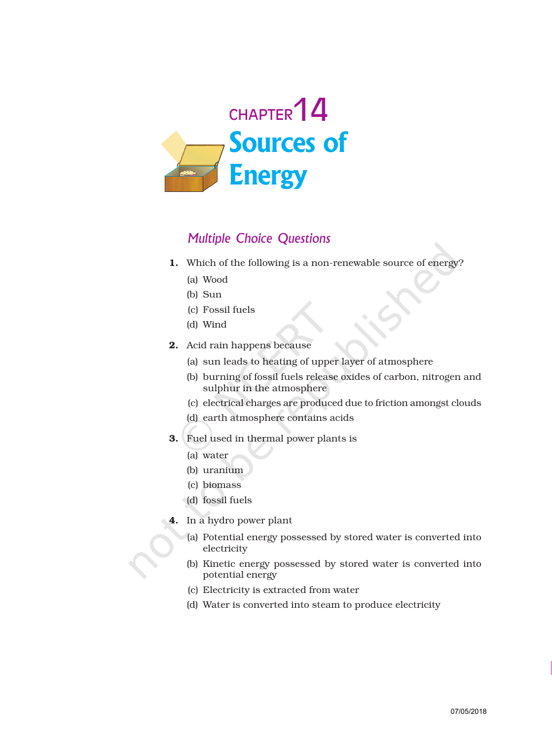

## Multiple Choice Questions

- 1. Which of the following is a non-renewable source of energy?
	- (a) Wood
	- (b) Sun
	- (c) Fossil fuels
	- (d) Wind
- 2. Acid rain happens because
	- (a) sun leads to heating of upper layer of atmosphere
	- (b) burning of fossil fuels release oxides of carbon, nitrogen and sulphur in the atmosphere
	- (c) electrical charges are produced due to friction amongst clouds
	- (d) earth atmosphere contains acids
- 3. Fuel used in thermal power plants is
	- (a) water
	- (b) uranium
	- (c) biomass
	- (d) fossil fuels
- 4. In a hydro power plant
	- (a) Potential energy possessed by stored water is converted into electricity
	- (b) Kinetic energy possessed by stored water is converted into potential energy
	- (c) Electricity is extracted from water
	- (d) Water is converted into steam to produce electricity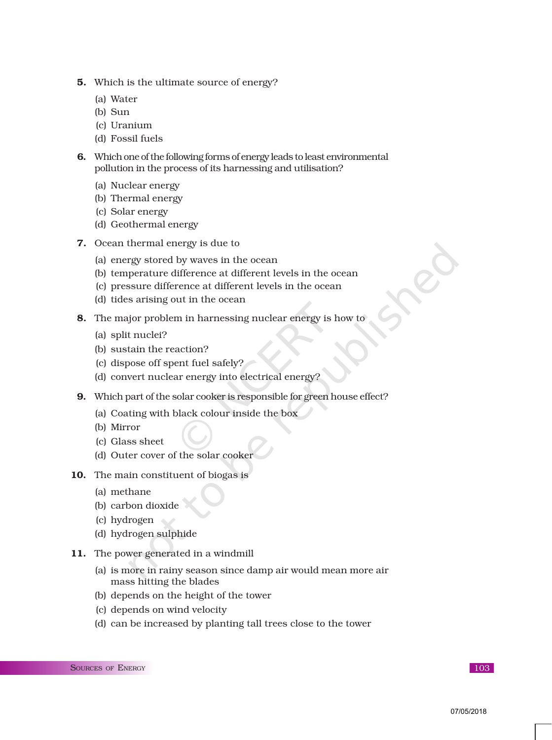- 5. Which is the ultimate source of energy?
	- (a) Water
	- (b) Sun
	- (c) Uranium
	- (d) Fossil fuels
- 6. Which one of the following forms of energy leads to least environmental pollution in the process of its harnessing and utilisation?
	- (a) Nuclear energy
	- (b) Thermal energy
	- (c) Solar energy
	- (d) Geothermal energy
- 7. Ocean thermal energy is due to
	- (a) energy stored by waves in the ocean
	- (b) temperature difference at different levels in the ocean
	- (c) pressure difference at different levels in the ocean
	- (d) tides arising out in the ocean
- 8. The major problem in harnessing nuclear energy is how to
	- (a) split nuclei?
	- (b) sustain the reaction?
	- (c) dispose off spent fuel safely?
	- (d) convert nuclear energy into electrical energy?
- 9. Which part of the solar cooker is responsible for green house effect?
	- (a) Coating with black colour inside the box
	- (b) Mirror
	- (c) Glass sheet
	- (d) Outer cover of the solar cooker
- 10. The main constituent of biogas is
	- (a) methane
	- (b) carbon dioxide
	- (c) hydrogen
	- (d) hydrogen sulphide
- 11. The power generated in a windmill
	- (a) is more in rainy season since damp air would mean more air mass hitting the blades
	- (b) depends on the height of the tower
	- (c) depends on wind velocity
	- (d) can be increased by planting tall trees close to the tower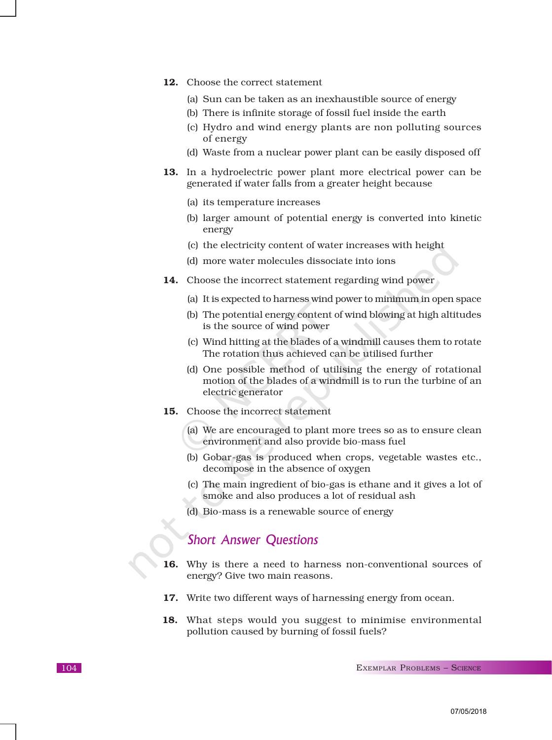- 12. Choose the correct statement
	- (a) Sun can be taken as an inexhaustible source of energy
	- (b) There is infinite storage of fossil fuel inside the earth
	- (c) Hydro and wind energy plants are non polluting sources of energy
	- (d) Waste from a nuclear power plant can be easily disposed off
- 13. In a hydroelectric power plant more electrical power can be generated if water falls from a greater height because
	- (a) its temperature increases
	- (b) larger amount of potential energy is converted into kinetic energy
	- (c) the electricity content of water increases with height
	- (d) more water molecules dissociate into ions
- 14. Choose the incorrect statement regarding wind power
	- (a) It is expected to harness wind power to minimum in open space
	- (b) The potential energy content of wind blowing at high altitudes is the source of wind power
	- (c) Wind hitting at the blades of a windmill causes them to rotate The rotation thus achieved can be utilised further
	- (d) One possible method of utilising the energy of rotational motion of the blades of a windmill is to run the turbine of an electric generator
- 15. Choose the incorrect statement
	- (a) We are encouraged to plant more trees so as to ensure clean environment and also provide bio-mass fuel
	- (b) Gobar-gas is produced when crops, vegetable wastes etc., decompose in the absence of oxygen
	- (c) The main ingredient of bio-gas is ethane and it gives a lot of smoke and also produces a lot of residual ash
	- (d) Bio-mass is a renewable source of energy

## Short Answer Questions

- 16. Why is there a need to harness non-conventional sources of energy? Give two main reasons.
- 17. Write two different ways of harnessing energy from ocean.
- 18. What steps would you suggest to minimise environmental pollution caused by burning of fossil fuels?